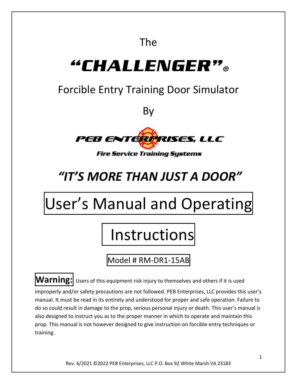# The

# "CHALLENGER"。

# Forcible Entry Training Door Simulator

By



# *"IT'S MORE THAN JUST A DOOR"*

# User's Manual and Operating

# Instructions

Model # RM-DR1-15AB

**Warning:** Users of this equipment risk injury to themselves and others if it is used

improperly and/or safety precautions are not followed. PEB Enterprises, LLC provides this user's manual. It must be read in its entirety and understood for proper and safe operation. Failure to do so could result in damage to the prop, serious personal injury or death. This user's manual is also designed to instruct you as to the proper manner in which to operate and maintain this prop. This manual is not however designed to give instruction on forcible entry techniques or training.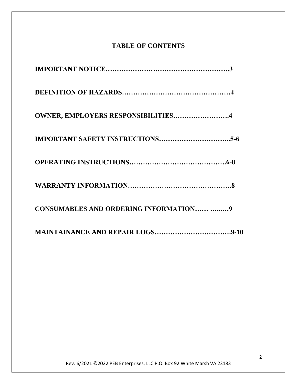#### **TABLE OF CONTENTS**

| <b>OWNER, EMPLOYERS RESPONSIBILITIES4</b>     |
|-----------------------------------------------|
|                                               |
|                                               |
|                                               |
| <b>CONSUMABLES AND ORDERING INFORMATION 9</b> |
|                                               |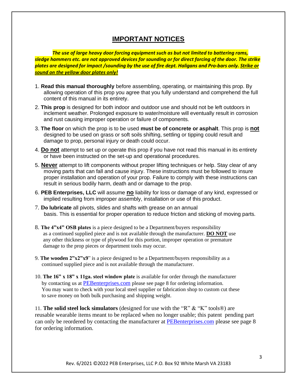#### **IMPORTANT NOTICES**

*The use of large heavy door forcing equipment such as but not limited to battering rams, sledge hammers etc. are not approved devices for sounding or for direct forcing of the door. The strike plates are designed for impact /sounding by the use of fire dept. Haligans and Pro-bars only. Strike or sound on the yellow door plates only!*

- 1. **Read this manual thoroughly** before assembling, operating, or maintaining this prop. By allowing operation of this prop you agree that you fully understand and comprehend the full content of this manual in its entirety.
- 2. **This prop** is designed for both indoor and outdoor use and should not be left outdoors in inclement weather. Prolonged exposure to water/moisture will eventually result in corrosion and rust causing improper operation or failure of components.
- 3. **The floor** on which the prop is to be used **must be of concrete or asphalt**. This prop is **not** designed to be used on grass or soft soils shifting, settling or tipping could result and damage to prop, personal injury or death could occur.
- 4. **Do not** attempt to set up or operate this prop if you have not read this manual in its entirety or have been instructed on the set-up and operational procedures.
- 5. **Never** attempt to lift components without proper lifting techniques or help. Stay clear of any moving parts that can fall and cause injury. These instructions must be followed to insure proper installation and operation of your prop. Failure to comply with these instructions can result in serious bodily harm, death and or damage to the prop.
- 6. **PEB Enterprises, LLC** will assume **no** liability for loss or damage of any kind, expressed or implied resulting from improper assembly, installation or use of this product.
- 7. **Do lubricate** all pivots, slides and shafts with grease on an annual basis. This is essential for proper operation to reduce friction and sticking of moving parts.
- 8. **The 4"x4" OSB plates** is a piece designed to be a Department/buyers responsibility as a continued supplied piece and is not available through the manufacturer. **DO NOT** use any other thickness or type of plywood for this portion, improper operation or premature damage to the prop pieces or department tools may occur.
- 9. **The wooden 2"x2"x9**" is a piece designed to be a Department/buyers responsibility as a continued supplied piece and is not available through the manufacturer.
- 10. **The 16" x 18" x 11ga. steel window plate** is available for order through the manufacturer by contacting us at [PEBenterprises.com](mailto:PEBenterpriseLLC@aol.com) please see page 8 for ordering information. You may want to check with your local steel supplier or fabrication shop to custom cut these to save money on both bulk purchasing and shipping weight.

11. **The solid steel lock simulators** (designed for use with the "R" & "K" tools®) are reusable wearable items meant to be replaced when no longer usable; this patent pending part can only be reordered by contacting the manufacturer at [PEBenterprises.com](mailto:PEBenterpriseLLC@aol.com) please see page 8 for ordering information.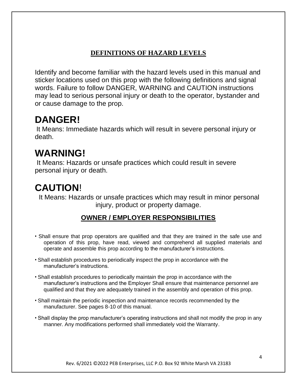### **DEFINITIONS OF HAZARD LEVELS**

Identify and become familiar with the hazard levels used in this manual and sticker locations used on this prop with the following definitions and signal words. Failure to follow DANGER, WARNING and CAUTION instructions may lead to serious personal injury or death to the operator, bystander and or cause damage to the prop.

# **DANGER!**

It Means: Immediate hazards which will result in severe personal injury or death.

# **WARNING!**

It Means: Hazards or unsafe practices which could result in severe personal injury or death.

# **CAUTION**!

It Means: Hazards or unsafe practices which may result in minor personal injury, product or property damage.

### **OWNER / EMPLOYER RESPONSIBILITIES**

- Shall ensure that prop operators are qualified and that they are trained in the safe use and operation of this prop, have read, viewed and comprehend all supplied materials and operate and assemble this prop according to the manufacturer's instructions.
- Shall establish procedures to periodically inspect the prop in accordance with the manufacturer's instructions.
- Shall establish procedures to periodically maintain the prop in accordance with the manufacturer's instructions and the Employer Shall ensure that maintenance personnel are qualified and that they are adequately trained in the assembly and operation of this prop.
- Shall maintain the periodic inspection and maintenance records recommended by the manufacturer. See pages 8-10 of this manual.
- Shall display the prop manufacturer's operating instructions and shall not modify the prop in any manner. Any modifications performed shall immediately void the Warranty.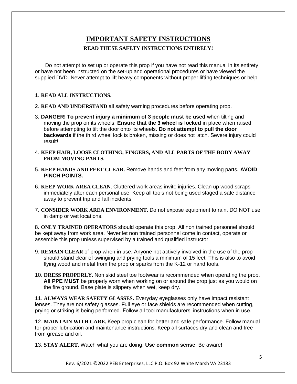#### **IMPORTANT SAFETY INSTRUCTIONS READ THESE SAFETY INSTRUCTIONS ENTIRELY!**

Do not attempt to set up or operate this prop if you have not read this manual in its entirety or have not been instructed on the set-up and operational procedures or have viewed the supplied DVD. Never attempt to lift heavy components without proper lifting techniques or help.

#### 1. **READ ALL INSTRUCTIONS.**

- 2. **READ AND UNDERSTAND** all safety warning procedures before operating prop.
- 3. **DANGER**! **To prevent injury a minimum of 3 people must be used** when tilting and moving the prop on its wheels. **Ensure that the 3 wheel is locked** in place when raised before attempting to tilt the door onto its wheels. **Do not attempt to pull the door backwards** if the third wheel lock is broken, missing or does not latch. Severe injury could result!
- 4. **KEEP HAIR, LOOSE CLOTHING, FINGERS, AND ALL PARTS OF THE BODY AWAY FROM MOVING PARTS.**
- 5. **KEEP HANDS AND FEET CLEAR.** Remove hands and feet from any moving parts**. AVOID PINCH POINTS.**
- 6. **KEEP WORK AREA CLEAN.** Cluttered work areas invite injuries. Clean up wood scraps immediately after each personal use. Keep all tools not being used staged a safe distance away to prevent trip and fall incidents.
- 7. **CONSIDER WORK AREA ENVIRONMENT.** Do not expose equipment to rain. DO NOT use in damp or wet locations.

8. **ONLY TRAINED OPERATORS** should operate this prop. All non trained personnel should be kept away from work area. Never let non trained personnel come in contact, operate or assemble this prop unless supervised by a trained and qualified instructor.

- 9. **REMAIN CLEAR** of prop when in use. Anyone not actively involved in the use of the prop should stand clear of swinging and prying tools a minimum of 15 feet. This is also to avoid flying wood and metal from the prop or sparks from the K-12 or hand tools.
- 10. **DRESS PROPERLY.** Non skid steel toe footwear is recommended when operating the prop. **All PPE MUST** be properly worn when working on or around the prop just as you would on the fire ground. Base plate is slippery when wet, keep dry.

11. **ALWAYS WEAR SAFETY GLASSES.** Everyday eyeglasses only have impact resistant lenses. They are not safety glasses. Full eye or face shields are recommended when cutting, prying or striking is being performed. Follow all tool manufacturers' instructions when in use.

12. **MAINTAIN WITH CARE.** Keep prop clean for better and safe performance. Follow manual for proper lubrication and maintenance instructions. Keep all surfaces dry and clean and free from grease and oil.

13. **STAY ALERT.** Watch what you are doing. **Use common sense**. Be aware!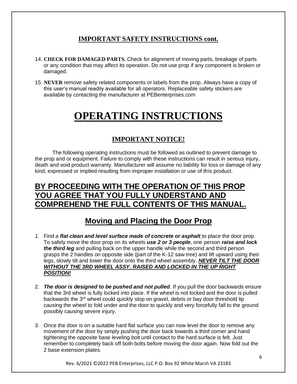#### **IMPORTANT SAFETY INSTRUCTIONS cont.**

- 14. **CHECK FOR DAMAGED PARTS.** Check for alignment of moving parts, breakage of parts or any condition that may affect its operation. Do not use prop if any component is broken or damaged.
- 15. **NEVER** remove safety related components or labels from the prop. Always have a copy of this user's manual readily available for all operators. Replaceable safety stickers are available by contacting the manufacturer at PEBenterprises.com

# **OPERATING INSTRUCTIONS**

### **IMPORTANT NOTICE!**

The following operating instructions must be followed as outlined to prevent damage to the prop and or equipment. Failure to comply with these instructions can result in serious injury, death and void product warranty. Manufacturer will assume no liability for loss or damage of any kind, expressed or implied resulting from improper installation or use of this product.

## **BY PROCEEDING WITH THE OPERATION OF THIS PROP YOU AGREE THAT YOU FULLY UNDERSTAND AND COMPREHEND THE FULL CONTENTS OF THIS MANUAL.**

## **Moving and Placing the Door Prop**

- *1.* Find a *flat clean and level surface made of concrete or asphalt* to place the door prop. To safely move the door prop on its wheels *use 2 or 3 people*, one person *raise and lock the third leg* and pulling back on the upper handle while the second and third person grasps the 2 handles on opposite side (part of the K-12 saw tree) and lift upward using their legs, slowly tilt and lower the door onto the third wheel assembly. *NEVER TILT THE DOOR WITHOUT THE 3RD WHEEL ASSY. RAISED AND LOCKED IN THE UP RIGHT POSITION!*
- 2. *The door is designed to be pushed and not pulled*. If you pull the door backwards ensure that the 3rd wheel is fully locked into place. If the wheel is not locked and the door is pulled backwards the 3<sup>rd</sup> wheel could quickly stop on gravel, debris or bay door threshold lip causing the wheel to fold under and the door to quickly and very forcefully fall to the ground possibly causing severe injury.
- 3. Once the door is on a suitable hard flat surface you can now level the door to remove any movement of the door by simply pushing the door back towards a third corner and hand tightening the opposite base leveling bolt until contact to the hard surface is felt. Just remember to completely back off both bolts before moving the door again. Now fold out the 2 base extension plates.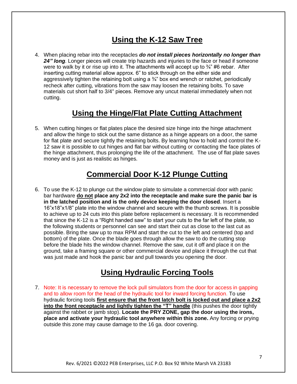# **Using the K-12 Saw Tree**

4. When placing rebar into the receptacles *do not install pieces horizontally no longer than*  24" long. Longer pieces will create trip hazards and injuries to the face or head if someone were to walk by it or rise up into it. The attachments will accept up to  $\frac{3}{4}$ " #6 rebar. After inserting cutting material allow approx. 6" to stick through on the either side and aggressively tighten the retaining bolt using a  $\frac{3}{4}$ " box end wrench or ratchet, periodically recheck after cutting, vibrations from the saw may loosen the retaining bolts. To save materials cut short half to 3/4" pieces. Remove any uncut material immediately when not cutting.

## **Using the Hinge/Flat Plate Cutting Attachment**

5. When cutting hinges or flat plates place the desired size hinge into the hinge attachment and allow the hinge to stick out the same distance as a hinge appears on a door, the same for flat plate and secure tightly the retaining bolts. By learning how to hold and control the K-12 saw it is possible to cut hinges and flat bar without cutting or contacting the face plates of the hinge attachment, thus prolonging the life of the attachment. The use of flat plate saves money and is just as realistic as hinges.

# **Commercial Door K-12 Plunge Cutting**

6. To use the K-12 to plunge cut the window plate to simulate a commercial door with panic bar hardware **do not place any 2x2 into the receptacle and make sure the panic bar is in the latched position and is the only device keeping the door closed**. Insert a 16"x18"x1/8" plate into the window channel and secure with the thumb screws. It is possible to achieve up to 24 cuts into this plate before replacement is necessary. It is recommended that since the K-12 is a "Right handed saw" to start your cuts to the far left of the plate, so the following students or personnel can see and start their cut as close to the last cut as possible. Bring the saw up to max RPM and start the cut to the left and centered (top and bottom) of the plate. Once the blade goes through allow the saw to do the cutting stop before the blade hits the window channel. Remove the saw, cut it off and place it on the ground, take a framing square or other commercial device and place it through the cut that was just made and hook the panic bar and pull towards you opening the door.

## **Using Hydraulic Forcing Tools**

7. Note: It is necessary to remove the lock pull simulators from the door for access in gapping and to allow room for the head of the hydraulic tool for inward forcing function. To use hydraulic forcing tools **first ensure that the front latch bolt is locked out and place a 2x2 into the front receptacle and lightly tighten the "T" handle** (this pushes the door tightly against the rabbet or jamb stop). **Locate the PRY ZONE, gap the door using the irons, place and activate your hydraulic tool anywhere within this zone.** Any forcing or prying outside this zone may cause damage to the 16 ga. door covering.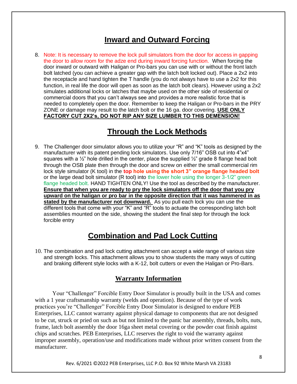## **Inward and Outward Forcing**

8. Note: It is necessary to remove the lock pull simulators from the door for access in gapping the door to allow room for the adze end during inward forcing function. When forcing the door inward or outward with Haligan or Pro-bars you can use with or without the front latch bolt latched (you can achieve a greater gap with the latch bolt locked out). Place a 2x2 into the receptacle and hand tighten the T handle (you do not always have to use a 2x2 for this function, in real life the door will open as soon as the latch bolt clears). However using a 2x2 simulates additional locks or latches that maybe used on the other side of residential or commercial doors that you can't always see and provides a more realistic force that is needed to completely open the door. Remember to keep the Haligan or Pro-bars in the PRY ZONE or damage may result to the latch bolt or the 16 ga. door covering. **USE ONLY FACTORY CUT 2X2's, DO NOT RIP ANY SIZE LUMBER TO THIS DEMENSION!**

## **Through the Lock Methods**

9. The Challenger door simulator allows you to utilize your "R" and "K" tools as designed by the manufacturer with its patent pending lock simulators. Use only 7/16" OSB cut into 4"x4" squares with a  $\frac{1}{2}$ " hole drilled in the center, place the supplied  $\frac{1}{2}$ " grade 8 flange head bolt through the OSB plate then through the door and screw on either the small commercial rim lock style simulator (K tool) in the **top hole using the short 3" orange flange headed bolt**  or the large dead bolt simulator (R tool) into the lower hole using the longer 3-1/2" green flange headed bolt. HAND TIGHTEN ONLY! Use the tool as described by the manufacturer. **Ensure that when you are ready to pry the lock simulators off the door that you pry upward on the haligan or pro bar in the opposite direction that it was hammered in as stated by the manufacturer not downward.** As you pull each lock you can use the different tools that come with your "K" and "R" tools to actuate the corresponding latch bolt assemblies mounted on the side, showing the student the final step for through the lock forcible entry

## **Combination and Pad Lock Cutting**

10. The combination and pad lock cutting attachment can accept a wide range of various size and strength locks. This attachment allows you to show students the many ways of cutting and braking different style locks with a K-12, bolt cutters or even the Haligan or Pro-Bars.

#### **Warranty Information**

Your "Challenger" Forcible Entry Door Simulator is proudly built in the USA and comes with a 1 year craftsmanship warranty (welds and operation). Because of the type of work practices you're "Challenger" Forcible Entry Door Simulator is designed to endure PEB Enterprises, LLC cannot warranty against physical damage to components that are not designed to be cut, struck or pried on such as but not limited to the panic bar assembly, threads, bolts, nuts, frame, latch bolt assembly the door 16ga sheet metal covering or the powder coat finish against chips and scratches. PEB Enterprises, LLC reserves the right to void the warranty against improper assembly, operation/use and modifications made without prior written consent from the manufacturer.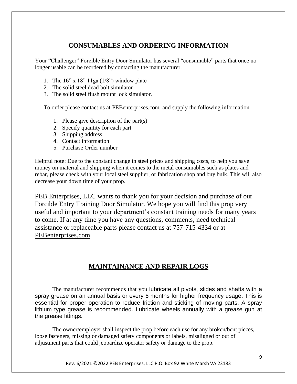#### **CONSUMABLES AND ORDERING INFORMATION**

Your "Challenger" Forcible Entry Door Simulator has several "consumable" parts that once no longer usable can be reordered by contacting the manufacturer.

- 1. The  $16$ " x  $18$ "  $11ga(1/8")$  window plate
- 2. The solid steel dead bolt simulator
- 3. The solid steel flush mount lock simulator.

To order please contact us at **PEB**enterprises.com and supply the following information

- 1. Please give description of the part(s)
- 2. Specify quantity for each part
- 3. Shipping address
- 4. Contact information
- 5. Purchase Order number

Helpful note: Due to the constant change in steel prices and shipping costs, to help you save money on material and shipping when it comes to the metal consumables such as plates and rebar, please check with your local steel supplier, or fabrication shop and buy bulk. This will also decrease your down time of your prop.

PEB Enterprises, LLC wants to thank you for your decision and purchase of our Forcible Entry Training Door Simulator. We hope you will find this prop very useful and important to your department's constant training needs for many years to come. If at any time you have any questions, comments, need technical assistance or replaceable parts please contact us at 757-715-4334 or at [PEBenterprises.com](mailto:PEBenterpriseLLC@aol.com)

#### **MAINTAINANCE AND REPAIR LOGS**

The manufacturer recommends that you lubricate all pivots, slides and shafts with a spray grease on an annual basis or every 6 months for higher frequency usage. This is essential for proper operation to reduce friction and sticking of moving parts. A spray lithium type grease is recommended. Lubricate wheels annually with a grease gun at the grease fittings.

The owner/employer shall inspect the prop before each use for any broken/bent pieces, loose fasteners, missing or damaged safety components or labels, misaligned or out of adjustment parts that could jeopardize operator safety or damage to the prop.